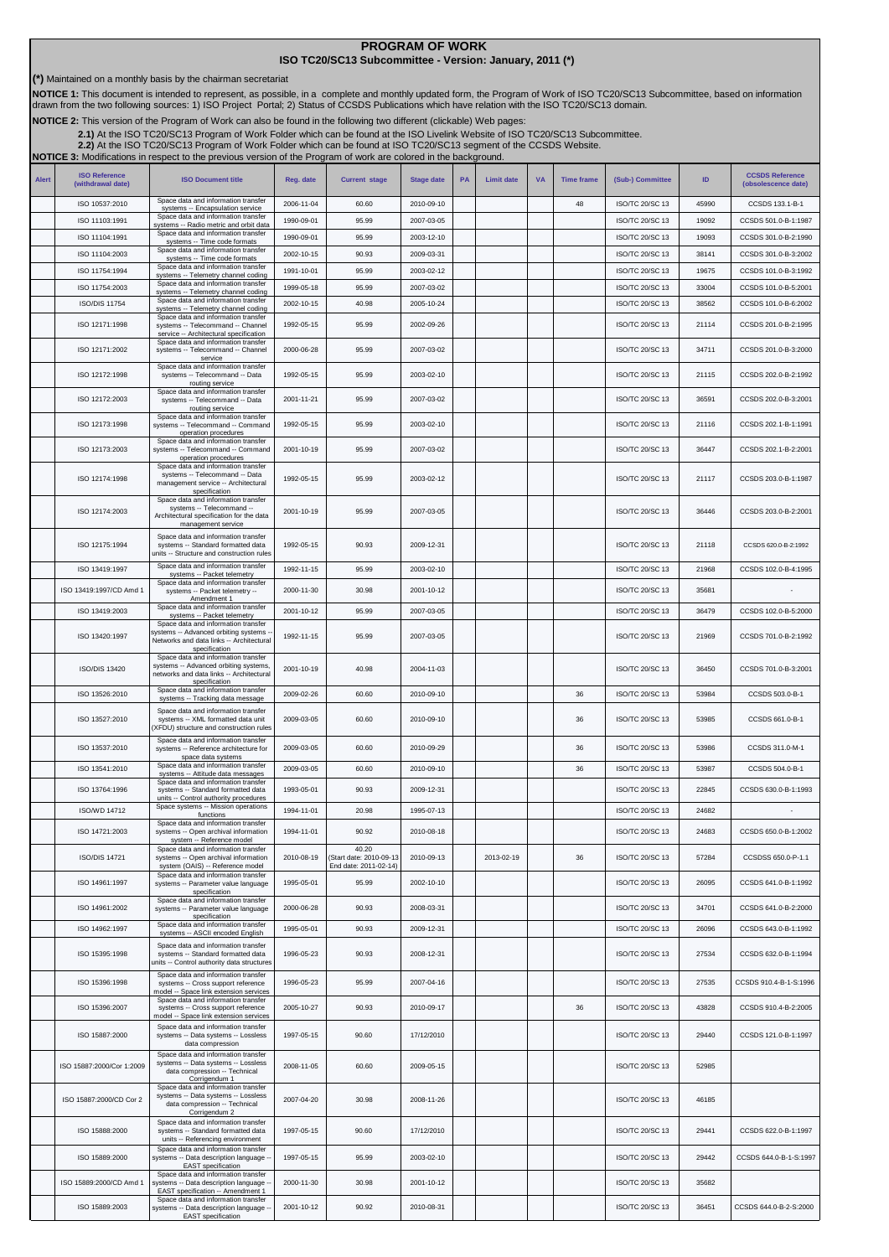## **PROGRAM OF WORK ISO TC20/SC13 Subcommittee - Version: January, 2011 (\*)**

**(\*)** Maintained on a monthly basis by the chairman secretariat

NOTICE 1: This document is intended to represent, as possible, in a complete and monthly updated form, the Program of Work of ISO TC20/SC13 Subcommittee, based on information<br>drawn from the two following sources: 1) ISO Pr

**NOTICE 2:** This version of the Program of Work can also be found in the following two different (clickable) Web pages:

2.1)At the ISO TC20/SC13 Program of Work Folder which can be found at the ISO Livelink Website of ISO TC20/SC13 Subcommittee.<br>[2.2\)](http://cwe.ccsds.org/cmc/docs/Forms/AllItems.aspx?RootFolder=%2fcmc%2fdocs%2fISO%20TC20%2dSC13%2fISO%20TC20%2dSC13%20Meeting%20Minutes%20and%20Presentations&FolderCTID=&View=%7bD5DD30F7%2d53FC%2d45B9%2d8B93%2d709B280A475B%7d) At the ISO TC20/SC13 Program of Work Folder which can be found at ISO TC20/SC13 segment of

|              |                                           | <b>NOTICE 3:</b> Modifications in respect to the previous version of the Program of work are colored in the background.                                   |            |                                  |                   |           |                   |           |                   |                  |       |                                               |
|--------------|-------------------------------------------|-----------------------------------------------------------------------------------------------------------------------------------------------------------|------------|----------------------------------|-------------------|-----------|-------------------|-----------|-------------------|------------------|-------|-----------------------------------------------|
| <b>Alert</b> | <b>ISO Reference</b><br>(withdrawal date) | <b>ISO Document title</b>                                                                                                                                 | Reg. date  | <b>Current stage</b>             | <b>Stage date</b> | <b>PA</b> | <b>Limit date</b> | <b>VA</b> | <b>Time frame</b> | (Sub-) Committee | ID    | <b>CCSDS Reference</b><br>(obsolescence date) |
|              | ISO 10537:2010                            | Space data and information transfer<br>systems -- Encapsulation service                                                                                   | 2006-11-04 | 60.60                            | 2010-09-10        |           |                   |           | 48                | ISO/TC 20/SC 13  | 45990 | CCSDS 133.1-B-1                               |
|              | ISO 11103:1991                            | Space data and information transfer<br>systems -- Radio metric and orbit data                                                                             | 1990-09-01 | 95.99                            | 2007-03-05        |           |                   |           |                   | ISO/TC 20/SC 13  | 19092 | CCSDS 501.0-B-1:1987                          |
|              | ISO 11104:1991                            | Space data and information transfer<br>systems -- Time code formats                                                                                       | 1990-09-01 | 95.99                            | 2003-12-10        |           |                   |           |                   | ISO/TC 20/SC 13  | 19093 | CCSDS 301.0-B-2:1990                          |
|              | ISO 11104:2003                            | Space data and information transfer<br>systems -- Time code formats                                                                                       | 2002-10-15 | 90.93                            | 2009-03-31        |           |                   |           |                   | ISO/TC 20/SC 13  | 38141 | CCSDS 301.0-B-3:2002                          |
|              | ISO 11754:1994                            | Space data and information transfer<br>systems -- Telemetry channel coding                                                                                | 1991-10-01 | 95.99                            | 2003-02-12        |           |                   |           |                   | ISO/TC 20/SC 13  | 19675 | CCSDS 101.0-B-3:1992                          |
|              | ISO 11754:2003                            | Space data and information transfer<br>systems -- Telemetry channel coding                                                                                | 1999-05-18 | 95.99                            | 2007-03-02        |           |                   |           |                   | ISO/TC 20/SC 13  | 33004 | CCSDS 101.0-B-5:2001                          |
|              | <b>ISO/DIS 11754</b>                      | Space data and information transfer<br>systems -- Telemetry channel coding                                                                                | 2002-10-15 | 40.98                            | 2005-10-24        |           |                   |           |                   | ISO/TC 20/SC 13  | 38562 | CCSDS 101.0-B-6:2002                          |
|              | ISO 12171:1998                            | Space data and information transfer<br>systems -- Telecommand -- Channel<br>service -- Architectural specification<br>Space data and information transfer | 1992-05-15 | 95.99                            | 2002-09-26        |           |                   |           |                   | ISO/TC 20/SC 13  | 21114 | CCSDS 201.0-B-2:1995                          |
|              | ISO 12171:2002                            | systems -- Telecommand -- Channel<br>service                                                                                                              | 2000-06-28 | 95.99                            | 2007-03-02        |           |                   |           |                   | ISO/TC 20/SC 13  | 34711 | CCSDS 201.0-B-3:2000                          |
|              | ISO 12172:1998                            | Space data and information transfer<br>systems -- Telecommand -- Data<br>routing service<br>Space data and information transfer                           | 1992-05-15 | 95.99                            | 2003-02-10        |           |                   |           |                   | ISO/TC 20/SC 13  | 21115 | CCSDS 202.0-B-2:1992                          |
|              | ISO 12172:2003                            | systems -- Telecommand -- Data<br>routing service<br>Space data and information transfer                                                                  | 2001-11-21 | 95.99                            | 2007-03-02        |           |                   |           |                   | ISO/TC 20/SC 13  | 36591 | CCSDS 202.0-B-3:2001                          |
|              | ISO 12173:1998                            | systems -- Telecommand -- Command<br>operation procedures<br>Space data and information transfer                                                          | 1992-05-15 | 95.99                            | 2003-02-10        |           |                   |           |                   | ISO/TC 20/SC 13  | 21116 | CCSDS 202.1-B-1:1991                          |
|              | ISO 12173:2003                            | systems -- Telecommand -- Command<br>operation procedures<br>Space data and information transfer                                                          | 2001-10-19 | 95.99                            | 2007-03-02        |           |                   |           |                   | ISO/TC 20/SC 13  | 36447 | CCSDS 202.1-B-2:2001                          |
|              | ISO 12174:1998                            | systems -- Telecommand -- Data<br>management service -- Architectural<br>specification<br>Space data and information transfer                             | 1992-05-15 | 95.99                            | 2003-02-12        |           |                   |           |                   | ISO/TC 20/SC 13  | 21117 | CCSDS 203.0-B-1:1987                          |
|              | ISO 12174:2003                            | systems -- Telecommand --<br>Architectural specification for the data<br>management service                                                               | 2001-10-19 | 95.99                            | 2007-03-05        |           |                   |           |                   | ISO/TC 20/SC 13  | 36446 | CCSDS 203.0-B-2:2001                          |
|              | ISO 12175:1994                            | Space data and information transfer<br>systems -- Standard formatted data<br>units -- Structure and construction rules                                    | 1992-05-15 | 90.93                            | 2009-12-31        |           |                   |           |                   | ISO/TC 20/SC 13  | 21118 | CCSDS 620.0-B-2:1992                          |
|              | ISO 13419:1997                            | Space data and information transfer<br>systems -- Packet telemetry                                                                                        | 1992-11-15 | 95.99                            | 2003-02-10        |           |                   |           |                   | ISO/TC 20/SC 13  | 21968 | CCSDS 102.0-B-4:1995                          |
|              | ISO 13419:1997/CD Amd 1                   | Space data and information transfer<br>systems -- Packet telemetry --<br>Amendment 1                                                                      | 2000-11-30 | 30.98                            | 2001-10-12        |           |                   |           |                   | ISO/TC 20/SC 13  | 35681 |                                               |
|              | ISO 13419:2003                            | Space data and information transfer<br>systems -- Packet telemetry                                                                                        | 2001-10-12 | 95.99                            | 2007-03-05        |           |                   |           |                   | ISO/TC 20/SC 13  | 36479 | CCSDS 102.0-B-5:2000                          |
|              | ISO 13420:1997                            | Space data and information transfer<br>systems -- Advanced orbiting systems -<br>Networks and data links -- Architectural<br>specification                | 1992-11-15 | 95.99                            | 2007-03-05        |           |                   |           |                   | ISO/TC 20/SC 13  | 21969 | CCSDS 701.0-B-2:1992                          |
|              | <b>ISO/DIS 13420</b>                      | Space data and information transfer<br>systems -- Advanced orbiting systems,<br>networks and data links -- Architectural<br>specification                 | 2001-10-19 | 40.98                            | 2004-11-03        |           |                   |           |                   | ISO/TC 20/SC 13  | 36450 | CCSDS 701.0-B-3:2001                          |
|              | ISO 13526:2010                            | Space data and information transfer<br>systems -- Tracking data message                                                                                   | 2009-02-26 | 60.60                            | 2010-09-10        |           |                   |           | 36                | ISO/TC 20/SC 13  | 53984 | CCSDS 503.0-B-1                               |
|              | ISO 13527:2010                            | Space data and information transfer<br>systems -- XML formatted data unit<br>(XFDU) structure and construction rules                                      | 2009-03-05 | 60.60                            | 2010-09-10        |           |                   |           | 36                | ISO/TC 20/SC 13  | 53985 | CCSDS 661.0-B-1                               |
|              | ISO 13537:2010                            | Space data and information transfer<br>systems -- Reference architecture for<br>space data systems                                                        | 2009-03-05 | 60.60                            | 2010-09-29        |           |                   |           | 36                | ISO/TC 20/SC 13  | 53986 | CCSDS 311.0-M-1                               |
|              | ISO 13541:2010                            | Space data and information transfer<br>systems -- Attitude data messages<br>Space data and information transfer                                           | 2009-03-05 | 60.60                            | 2010-09-10        |           |                   |           | 36                | ISO/TC 20/SC 13  | 53987 | CCSDS 504.0-B-1                               |
|              | ISO 13764:1996                            | systems -- Standard formatted data<br>units -- Control authority procedures                                                                               | 1993-05-01 | 90.93                            | 2009-12-31        |           |                   |           |                   | ISO/TC 20/SC 13  | 22845 | CCSDS 630.0-B-1:1993                          |
|              | ISO/WD 14712                              | Space systems -- Mission operations<br>functions                                                                                                          | 1994-11-01 | 20.98                            | 1995-07-13        |           |                   |           |                   | ISO/TC 20/SC 13  | 24682 |                                               |
|              | ISO 14721:2003                            | Space data and information transfer<br>systems -- Open archival information                                                                               | 1994-11-01 | 90.92                            | 2010-08-18        |           |                   |           |                   | ISO/TC 20/SC 13  | 24683 | CCSDS 650.0-B-1:2002                          |
|              | <b>ISO/DIS 14721</b>                      | system -- Reference model<br>Space data and information transfer<br>systems -- Open archival information                                                  | 2010-08-19 | 40.20<br>(Start date: 2010-09-13 | 2010-09-13        |           | 2013-02-19        |           | 36                | ISO/TC 20/SC 13  | 57284 | CCSDSS 650.0-P-1.1                            |
|              | ISO 14961:1997                            | system (OAIS) -- Reference model<br>Space data and information transfer<br>systems -- Parameter value language                                            | 1995-05-01 | End date: 2011-02-14)<br>95.99   | 2002-10-10        |           |                   |           |                   | ISO/TC 20/SC 13  | 26095 | CCSDS 641.0-B-1:1992                          |
|              | ISO 14961:2002                            | specification<br>Space data and information transfer<br>systems -- Parameter value language                                                               | 2000-06-28 | 90.93                            | 2008-03-31        |           |                   |           |                   | ISO/TC 20/SC 13  | 34701 | CCSDS 641.0-B-2:2000                          |
|              | ISO 14962:1997                            | specification<br>Space data and information transfer<br>systems -- ASCII encoded English                                                                  | 1995-05-01 | 90.93                            | 2009-12-31        |           |                   |           |                   | ISO/TC 20/SC 13  | 26096 | CCSDS 643.0-B-1:1992                          |
|              | ISO 15395:1998                            | Space data and information transfer<br>systems -- Standard formatted data<br>units -- Control authority data structures                                   | 1996-05-23 | 90.93                            | 2008-12-31        |           |                   |           |                   | ISO/TC 20/SC 13  | 27534 | CCSDS 632.0-B-1:1994                          |
|              | ISO 15396:1998                            | Space data and information transfer<br>systems -- Cross support reference<br>model -- Space link extension services                                       | 1996-05-23 | 95.99                            | 2007-04-16        |           |                   |           |                   | ISO/TC 20/SC 13  | 27535 | CCSDS 910.4-B-1-S:1996                        |
|              | ISO 15396:2007                            | Space data and information transfer<br>systems -- Cross support reference<br>model -- Space link extension services                                       | 2005-10-27 | 90.93                            | 2010-09-17        |           |                   |           | 36                | ISO/TC 20/SC 13  | 43828 | CCSDS 910.4-B-2:2005                          |
|              | ISO 15887:2000                            | Space data and information transfer<br>systems -- Data systems -- Lossless<br>data compression                                                            | 1997-05-15 | 90.60                            | 17/12/2010        |           |                   |           |                   | ISO/TC 20/SC 13  | 29440 | CCSDS 121.0-B-1:1997                          |
|              | ISO 15887:2000/Cor 1:2009                 | Space data and information transfer<br>systems -- Data systems -- Lossless<br>data compression -- Technical<br>Corrigendum 1                              | 2008-11-05 | 60.60                            | 2009-05-15        |           |                   |           |                   | ISO/TC 20/SC 13  | 52985 |                                               |
|              | ISO 15887:2000/CD Cor 2                   | Space data and information transfer<br>systems -- Data systems -- Lossless<br>data compression -- Technical<br>Corrigendum 2                              | 2007-04-20 | 30.98                            | 2008-11-26        |           |                   |           |                   | ISO/TC 20/SC 13  | 46185 |                                               |
|              | ISO 15888:2000                            | Space data and information transfer<br>systems -- Standard formatted data<br>units -- Referencing environment                                             | 1997-05-15 | 90.60                            | 17/12/2010        |           |                   |           |                   | ISO/TC 20/SC 13  | 29441 | CCSDS 622.0-B-1:1997                          |
|              | ISO 15889:2000                            | Space data and information transfer<br>systems -- Data description language -<br><b>EAST</b> specification                                                | 1997-05-15 | 95.99                            | 2003-02-10        |           |                   |           |                   | ISO/TC 20/SC 13  | 29442 | CCSDS 644.0-B-1-S:1997                        |
|              | ISO 15889:2000/CD Amd 1                   | Space data and information transfer<br>systems -- Data description language -<br>EAST specification -- Amendment 1<br>Space data and information transfer | 2000-11-30 | 30.98                            | 2001-10-12        |           |                   |           |                   | ISO/TC 20/SC 13  | 35682 |                                               |
|              | ISO 15889:2003                            | systems -- Data description language -<br>EAST specification                                                                                              | 2001-10-12 | 90.92                            | 2010-08-31        |           |                   |           |                   | ISO/TC 20/SC 13  | 36451 | CCSDS 644.0-B-2-S:2000                        |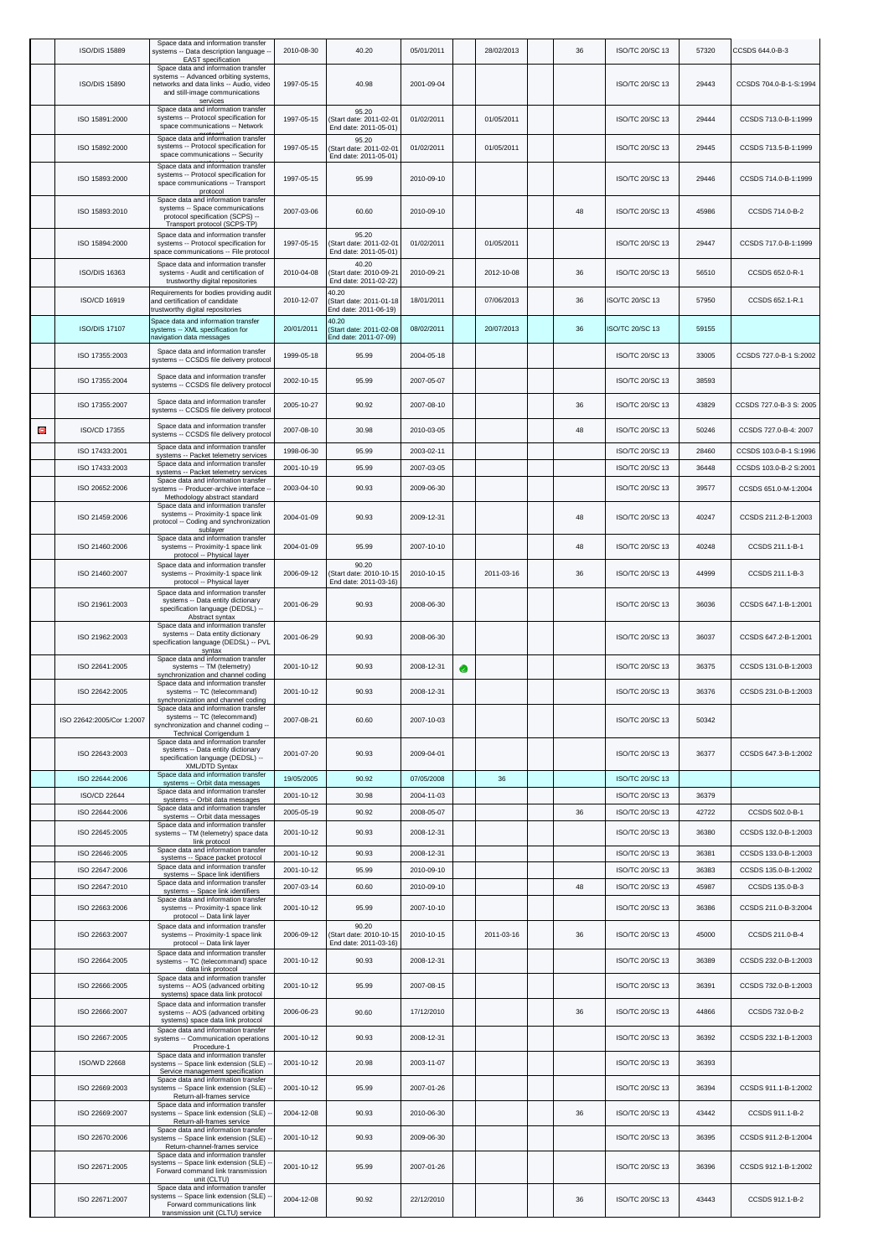|   | <b>ISO/DIS 15889</b>      | Space data and information transfer<br>systems -- Data description language -<br><b>EAST</b> specification                                                            | 2010-08-30 | 40.20                                                     | 05/01/2011 |   | 28/02/2013 | 36 | ISO/TC 20/SC 13        | 57320 | CCSDS 644.0-B-3         |
|---|---------------------------|-----------------------------------------------------------------------------------------------------------------------------------------------------------------------|------------|-----------------------------------------------------------|------------|---|------------|----|------------------------|-------|-------------------------|
|   | <b>ISO/DIS 15890</b>      | Space data and information transfer<br>systems -- Advanced orbiting systems,<br>networks and data links -- Audio, video<br>and still-image communications<br>services | 1997-05-15 | 40.98                                                     | 2001-09-04 |   |            |    | ISO/TC 20/SC 13        | 29443 | CCSDS 704.0-B-1-S:1994  |
|   | ISO 15891:2000            | Space data and information transfer<br>systems -- Protocol specification for<br>space communications -- Network                                                       | 1997-05-15 | 95.20<br>Start date: 2011-02-01<br>End date: 2011-05-01)  | 01/02/2011 |   | 01/05/2011 |    | ISO/TC 20/SC 13        | 29444 | CCSDS 713.0-B-1:1999    |
|   | ISO 15892:2000            | Space data and information transfer<br>systems -- Protocol specification for<br>space communications -- Security                                                      | 1997-05-15 | 95.20<br>Start date: 2011-02-01<br>End date: 2011-05-01)  | 01/02/2011 |   | 01/05/2011 |    | ISO/TC 20/SC 13        | 29445 | CCSDS 713.5-B-1:1999    |
|   | ISO 15893:2000            | Space data and information transfer<br>systems -- Protocol specification for<br>space communications -- Transport<br>protocol                                         | 1997-05-15 | 95.99                                                     | 2010-09-10 |   |            |    | ISO/TC 20/SC 13        | 29446 | CCSDS 714.0-B-1:1999    |
|   | ISO 15893:2010            | Space data and information transfer<br>systems -- Space communications<br>protocol specification (SCPS) --<br>Transport protocol (SCPS-TP)                            | 2007-03-06 | 60.60                                                     | 2010-09-10 |   |            | 48 | ISO/TC 20/SC 13        | 45986 | CCSDS 714.0-B-2         |
|   | ISO 15894:2000            | Space data and information transfer<br>systems -- Protocol specification for<br>space communications -- File protocol                                                 | 1997-05-15 | 95.20<br>Start date: 2011-02-0<br>End date: 2011-05-01    | 01/02/2011 |   | 01/05/2011 |    | ISO/TC 20/SC 13        | 29447 | CCSDS 717.0-B-1:1999    |
|   | <b>ISO/DIS 16363</b>      | Space data and information transfer<br>systems - Audit and certification of<br>trustworthy digital repositories                                                       | 2010-04-08 | 40.20<br>Start date: 2010-09-21<br>End date: 2011-02-22)  | 2010-09-21 |   | 2012-10-08 | 36 | ISO/TC 20/SC 13        | 56510 | CCSDS 652.0-R-1         |
|   | ISO/CD 16919              | Requirements for bodies providing audit<br>and certification of candidate<br>trustworthy digital repositories                                                         | 2010-12-07 | 40.20<br>(Start date: 2011-01-18<br>End date: 2011-06-19) | 18/01/2011 |   | 07/06/2013 | 36 | ISO/TC 20/SC 13        | 57950 | CCSDS 652.1-R.1         |
|   | <b>ISO/DIS 17107</b>      | Space data and information transfer<br>systems -- XML specification for<br>navigation data messages                                                                   | 20/01/2011 | 40.20<br>Start date: 2011-02-08<br>End date: 2011-07-09)  | 08/02/2011 |   | 20/07/2013 | 36 | <b>ISO/TC 20/SC 13</b> | 59155 |                         |
|   | ISO 17355:2003            | Space data and information transfer<br>systems -- CCSDS file delivery protocol                                                                                        | 1999-05-18 | 95.99                                                     | 2004-05-18 |   |            |    | ISO/TC 20/SC 13        | 33005 | CCSDS 727.0-B-1 S:2002  |
|   | ISO 17355:2004            | Space data and information transfer<br>systems -- CCSDS file delivery protocol                                                                                        | 2002-10-15 | 95.99                                                     | 2007-05-07 |   |            |    | ISO/TC 20/SC 13        | 38593 |                         |
|   | ISO 17355:2007            | Space data and information transfer<br>systems -- CCSDS file delivery protocol                                                                                        | 2005-10-27 | 90.92                                                     | 2007-08-10 |   |            | 36 | ISO/TC 20/SC 13        | 43829 | CCSDS 727.0-B-3 S: 2005 |
| O | ISO/CD 17355              | Space data and information transfer<br>systems -- CCSDS file delivery protocol                                                                                        | 2007-08-10 | 30.98                                                     | 2010-03-05 |   |            | 48 | ISO/TC 20/SC 13        | 50246 | CCSDS 727.0-B-4: 2007   |
|   | ISO 17433:2001            | Space data and information transfer<br>systems -- Packet telemetry services                                                                                           | 1998-06-30 | 95.99                                                     | 2003-02-11 |   |            |    | ISO/TC 20/SC 13        | 28460 | CCSDS 103.0-B-1 S:1996  |
|   | ISO 17433:2003            | Space data and information transfer<br>systems -- Packet telemetry services                                                                                           | 2001-10-19 | 95.99                                                     | 2007-03-05 |   |            |    | ISO/TC 20/SC 13        | 36448 | CCSDS 103.0-B-2 S:2001  |
|   | ISO 20652:2006            | Space data and information transfer<br>systems -- Producer-archive interface -<br>Methodology abstract standard                                                       | 2003-04-10 | 90.93                                                     | 2009-06-30 |   |            |    | ISO/TC 20/SC 13        | 39577 | CCSDS 651.0-M-1:2004    |
|   | ISO 21459:2006            | Space data and information transfer<br>systems -- Proximity-1 space link<br>protocol -- Coding and synchronization<br>sublayer                                        | 2004-01-09 | 90.93                                                     | 2009-12-31 |   |            | 48 | ISO/TC 20/SC 13        | 40247 | CCSDS 211.2-B-1:2003    |
|   | ISO 21460:2006            | Space data and information transfer<br>systems -- Proximity-1 space link<br>protocol -- Physical layer                                                                | 2004-01-09 | 95.99                                                     | 2007-10-10 |   |            | 48 | ISO/TC 20/SC 13        | 40248 | CCSDS 211.1-B-1         |
|   | ISO 21460:2007            | Space data and information transfer<br>systems -- Proximity-1 space link<br>protocol -- Physical layer                                                                | 2006-09-12 | 90.20<br>(Start date: 2010-10-15<br>End date: 2011-03-16) | 2010-10-15 |   | 2011-03-16 | 36 | ISO/TC 20/SC 13        | 44999 | CCSDS 211.1-B-3         |
|   | ISO 21961:2003            | Space data and information transfer<br>systems -- Data entity dictionary<br>specification language (DEDSL) --<br>Abstract syntax                                      | 2001-06-29 | 90.93                                                     | 2008-06-30 |   |            |    | ISO/TC 20/SC 13        | 36036 | CCSDS 647.1-B-1:2001    |
|   | ISO 21962:2003            | Space data and information transfer<br>systems -- Data entity dictionary<br>specification language (DEDSL) -- PVL<br>syntax                                           | 2001-06-29 | 90.93                                                     | 2008-06-30 |   |            |    | ISO/TC 20/SC 13        | 36037 | CCSDS 647.2-B-1:2001    |
|   | ISO 22641:2005            | Space data and information transfer<br>systems -- TM (telemetry)<br>synchronization and channel coding                                                                | 2001-10-12 | 90.93                                                     | 2008-12-31 | ◉ |            |    | ISO/TC 20/SC 13        | 36375 | CCSDS 131.0-B-1:2003    |
|   | ISO 22642:2005            | Space data and information transfer<br>systems -- TC (telecommand)<br>synchronization and channel coding                                                              | 2001-10-12 | 90.93                                                     | 2008-12-31 |   |            |    | ISO/TC 20/SC 13        | 36376 | CCSDS 231.0-B-1:2003    |
|   | ISO 22642:2005/Cor 1:2007 | Space data and information transfer<br>systems -- TC (telecommand)<br>synchronization and channel coding --<br>Technical Corrigendum 1                                | 2007-08-21 | 60.60                                                     | 2007-10-03 |   |            |    | ISO/TC 20/SC 13        | 50342 |                         |
|   | ISO 22643:2003            | Space data and information transfer<br>systems -- Data entity dictionary<br>specification language (DEDSL) --<br>XML/DTD Syntax                                       | 2001-07-20 | 90.93                                                     | 2009-04-01 |   |            |    | ISO/TC 20/SC 13        | 36377 | CCSDS 647.3-B-1:2002    |
|   | ISO 22644:2006            | Space data and information transfer<br>systems -- Orbit data messages                                                                                                 | 19/05/2005 | 90.92                                                     | 07/05/2008 |   | 36         |    | ISO/TC 20/SC 13        |       |                         |
|   | ISO/CD 22644              | Space data and information transfer<br>systems -- Orbit data messages                                                                                                 | 2001-10-12 | 30.98                                                     | 2004-11-03 |   |            |    | ISO/TC 20/SC 13        | 36379 |                         |
|   | ISO 22644:2006            | Space data and information transfer<br>systems -- Orbit data messages                                                                                                 | 2005-05-19 | 90.92                                                     | 2008-05-07 |   |            | 36 | ISO/TC 20/SC 13        | 42722 | CCSDS 502.0-B-1         |
|   | ISO 22645:2005            | Space data and information transfer<br>systems -- TM (telemetry) space data<br>link protocol                                                                          | 2001-10-12 | 90.93                                                     | 2008-12-31 |   |            |    | ISO/TC 20/SC 13        | 36380 | CCSDS 132.0-B-1:2003    |
|   | ISO 22646:2005            | Space data and information transfer<br>systems -- Space packet protocol                                                                                               | 2001-10-12 | 90.93                                                     | 2008-12-31 |   |            |    | ISO/TC 20/SC 13        | 36381 | CCSDS 133.0-B-1:2003    |
|   | ISO 22647:2006            | Space data and information transfer<br>systems -- Space link identifiers                                                                                              | 2001-10-12 | 95.99                                                     | 2010-09-10 |   |            |    | ISO/TC 20/SC 13        | 36383 | CCSDS 135.0-B-1:2002    |
|   | ISO 22647:2010            | Space data and information transfer<br>systems -- Space link identifiers                                                                                              | 2007-03-14 | 60.60                                                     | 2010-09-10 |   |            | 48 | ISO/TC 20/SC 13        | 45987 | CCSDS 135.0-B-3         |
|   | ISO 22663:2006            | Space data and information transfer<br>systems -- Proximity-1 space link<br>protocol -- Data link layer                                                               | 2001-10-12 | 95.99                                                     | 2007-10-10 |   |            |    | ISO/TC 20/SC 13        | 36386 | CCSDS 211.0-B-3:2004    |
|   | ISO 22663:2007            | Space data and information transfer<br>systems -- Proximity-1 space link<br>protocol -- Data link layer                                                               | 2006-09-12 | 90.20<br>Start date: 2010-10-15<br>End date: 2011-03-16)  | 2010-10-15 |   | 2011-03-16 | 36 | ISO/TC 20/SC 13        | 45000 | CCSDS 211.0-B-4         |
|   | ISO 22664:2005            | Space data and information transfer<br>systems -- TC (telecommand) space<br>data link protocol                                                                        | 2001-10-12 | 90.93                                                     | 2008-12-31 |   |            |    | ISO/TC 20/SC 13        | 36389 | CCSDS 232.0-B-1:2003    |
|   | ISO 22666:2005            | Space data and information transfer<br>systems -- AOS (advanced orbiting<br>systems) space data link protocol                                                         | 2001-10-12 | 95.99                                                     | 2007-08-15 |   |            |    | ISO/TC 20/SC 13        | 36391 | CCSDS 732.0-B-1:2003    |
|   | ISO 22666:2007            | Space data and information transfer<br>systems -- AOS (advanced orbiting<br>systems) space data link protocol                                                         | 2006-06-23 | 90.60                                                     | 17/12/2010 |   |            | 36 | ISO/TC 20/SC 13        | 44866 | CCSDS 732.0-B-2         |
|   | ISO 22667:2005            | Space data and information transfer<br>systems -- Communication operations<br>Procedure-1<br>Space data and information transfer                                      | 2001-10-12 | 90.93                                                     | 2008-12-31 |   |            |    | ISO/TC 20/SC 13        | 36392 | CCSDS 232.1-B-1:2003    |
|   | ISO/WD 22668              | systems -- Space link extension (SLE)<br>Service management specification                                                                                             | 2001-10-12 | 20.98                                                     | 2003-11-07 |   |            |    | ISO/TC 20/SC 13        | 36393 |                         |
|   | ISO 22669:2003            | Space data and information transfer<br>systems -- Space link extension (SLE)<br>Return-all-frames service                                                             | 2001-10-12 | 95.99                                                     | 2007-01-26 |   |            |    | ISO/TC 20/SC 13        | 36394 | CCSDS 911.1-B-1:2002    |
|   | ISO 22669:2007            | Space data and information transfer<br>systems -- Space link extension (SLE) -<br>Return-all-frames service                                                           | 2004-12-08 | 90.93                                                     | 2010-06-30 |   |            | 36 | ISO/TC 20/SC 13        | 43442 | CCSDS 911.1-B-2         |
|   | ISO 22670:2006            | Space data and information transfer<br>systems -- Space link extension (SLE)<br>Return-channel-frames service<br>Space data and information transfer                  | 2001-10-12 | 90.93                                                     | 2009-06-30 |   |            |    | ISO/TC 20/SC 13        | 36395 | CCSDS 911.2-B-1:2004    |
|   | ISO 22671:2005            | systems -- Space link extension (SLE)<br>Forward command link transmission<br>unit (CLTU)                                                                             | 2001-10-12 | 95.99                                                     | 2007-01-26 |   |            |    | ISO/TC 20/SC 13        | 36396 | CCSDS 912.1-B-1:2002    |
|   | ISO 22671:2007            | Space data and information transfer<br>systems -- Space link extension (SLE)<br>Forward communications link<br>transmission unit (CLTU) service                       | 2004-12-08 | 90.92                                                     | 22/12/2010 |   |            | 36 | ISO/TC 20/SC 13        | 43443 | CCSDS 912.1-B-2         |